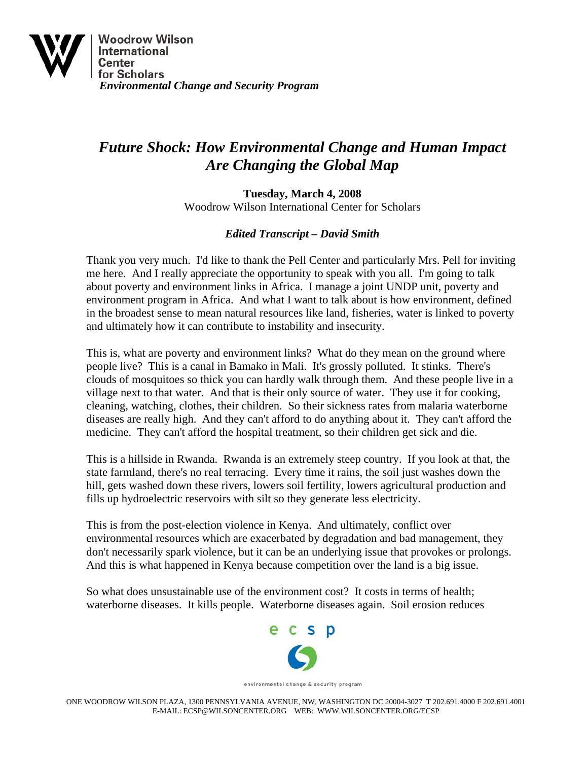

## *Future Shock: How Environmental Change and Human Impact Are Changing the Global Map*

**Tuesday, March 4, 2008**  Woodrow Wilson International Center for Scholars

## *Edited Transcript – David Smith*

Thank you very much. I'd like to thank the Pell Center and particularly Mrs. Pell for inviting me here. And I really appreciate the opportunity to speak with you all. I'm going to talk about poverty and environment links in Africa. I manage a joint UNDP unit, poverty and environment program in Africa. And what I want to talk about is how environment, defined in the broadest sense to mean natural resources like land, fisheries, water is linked to poverty and ultimately how it can contribute to instability and insecurity.

This is, what are poverty and environment links? What do they mean on the ground where people live? This is a canal in Bamako in Mali. It's grossly polluted. It stinks. There's clouds of mosquitoes so thick you can hardly walk through them. And these people live in a village next to that water. And that is their only source of water. They use it for cooking, cleaning, watching, clothes, their children. So their sickness rates from malaria waterborne diseases are really high. And they can't afford to do anything about it. They can't afford the medicine. They can't afford the hospital treatment, so their children get sick and die.

This is a hillside in Rwanda. Rwanda is an extremely steep country. If you look at that, the state farmland, there's no real terracing. Every time it rains, the soil just washes down the hill, gets washed down these rivers, lowers soil fertility, lowers agricultural production and fills up hydroelectric reservoirs with silt so they generate less electricity.

This is from the post-election violence in Kenya. And ultimately, conflict over environmental resources which are exacerbated by degradation and bad management, they don't necessarily spark violence, but it can be an underlying issue that provokes or prolongs. And this is what happened in Kenya because competition over the land is a big issue.

So what does unsustainable use of the environment cost? It costs in terms of health; waterborne diseases. It kills people. Waterborne diseases again. Soil erosion reduces

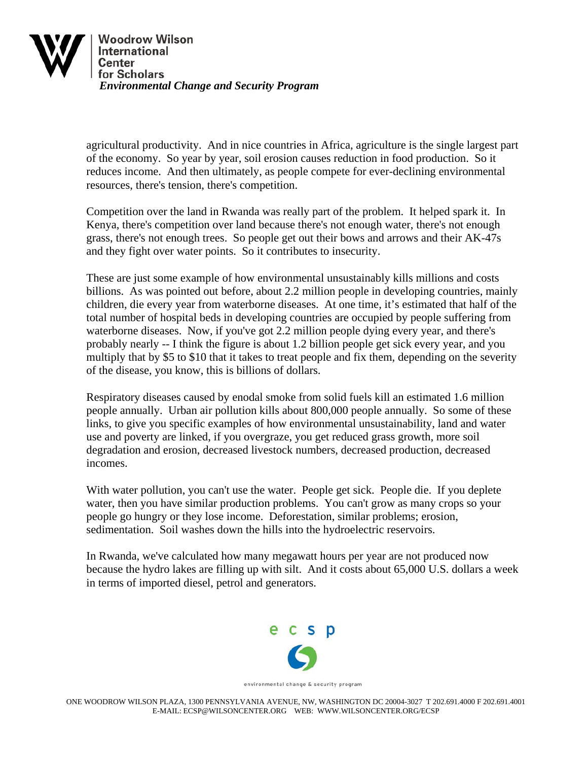

agricultural productivity. And in nice countries in Africa, agriculture is the single largest part of the economy. So year by year, soil erosion causes reduction in food production. So it reduces income. And then ultimately, as people compete for ever-declining environmental resources, there's tension, there's competition.

Competition over the land in Rwanda was really part of the problem. It helped spark it. In Kenya, there's competition over land because there's not enough water, there's not enough grass, there's not enough trees. So people get out their bows and arrows and their AK-47s and they fight over water points. So it contributes to insecurity.

These are just some example of how environmental unsustainably kills millions and costs billions. As was pointed out before, about 2.2 million people in developing countries, mainly children, die every year from waterborne diseases. At one time, it's estimated that half of the total number of hospital beds in developing countries are occupied by people suffering from waterborne diseases. Now, if you've got 2.2 million people dying every year, and there's probably nearly -- I think the figure is about 1.2 billion people get sick every year, and you multiply that by \$5 to \$10 that it takes to treat people and fix them, depending on the severity of the disease, you know, this is billions of dollars.

Respiratory diseases caused by enodal smoke from solid fuels kill an estimated 1.6 million people annually. Urban air pollution kills about 800,000 people annually. So some of these links, to give you specific examples of how environmental unsustainability, land and water use and poverty are linked, if you overgraze, you get reduced grass growth, more soil degradation and erosion, decreased livestock numbers, decreased production, decreased incomes.

With water pollution, you can't use the water. People get sick. People die. If you deplete water, then you have similar production problems. You can't grow as many crops so your people go hungry or they lose income. Deforestation, similar problems; erosion, sedimentation. Soil washes down the hills into the hydroelectric reservoirs.

In Rwanda, we've calculated how many megawatt hours per year are not produced now because the hydro lakes are filling up with silt. And it costs about 65,000 U.S. dollars a week in terms of imported diesel, petrol and generators.



environmental change & security program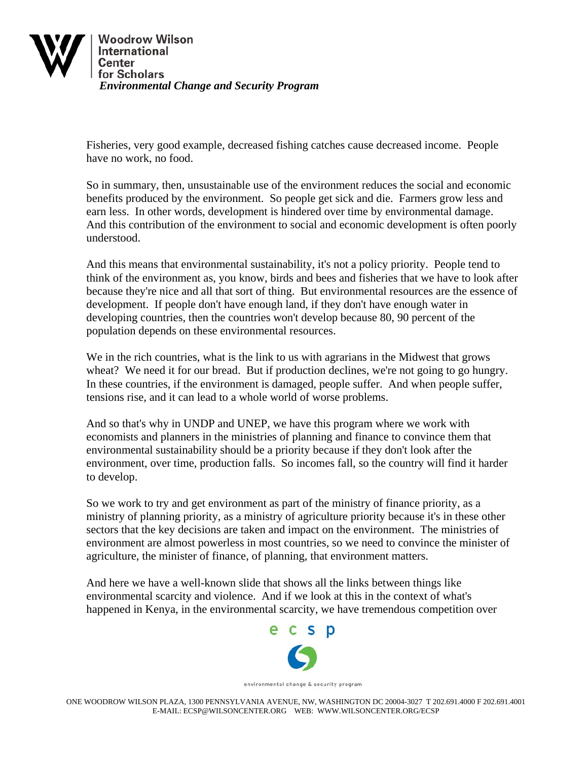

Fisheries, very good example, decreased fishing catches cause decreased income. People have no work, no food.

So in summary, then, unsustainable use of the environment reduces the social and economic benefits produced by the environment. So people get sick and die. Farmers grow less and earn less. In other words, development is hindered over time by environmental damage. And this contribution of the environment to social and economic development is often poorly understood.

And this means that environmental sustainability, it's not a policy priority. People tend to think of the environment as, you know, birds and bees and fisheries that we have to look after because they're nice and all that sort of thing. But environmental resources are the essence of development. If people don't have enough land, if they don't have enough water in developing countries, then the countries won't develop because 80, 90 percent of the population depends on these environmental resources.

We in the rich countries, what is the link to us with agrarians in the Midwest that grows wheat? We need it for our bread. But if production declines, we're not going to go hungry. In these countries, if the environment is damaged, people suffer. And when people suffer, tensions rise, and it can lead to a whole world of worse problems.

And so that's why in UNDP and UNEP, we have this program where we work with economists and planners in the ministries of planning and finance to convince them that environmental sustainability should be a priority because if they don't look after the environment, over time, production falls. So incomes fall, so the country will find it harder to develop.

So we work to try and get environment as part of the ministry of finance priority, as a ministry of planning priority, as a ministry of agriculture priority because it's in these other sectors that the key decisions are taken and impact on the environment. The ministries of environment are almost powerless in most countries, so we need to convince the minister of agriculture, the minister of finance, of planning, that environment matters.

And here we have a well-known slide that shows all the links between things like environmental scarcity and violence. And if we look at this in the context of what's happened in Kenya, in the environmental scarcity, we have tremendous competition over



environmental change & security program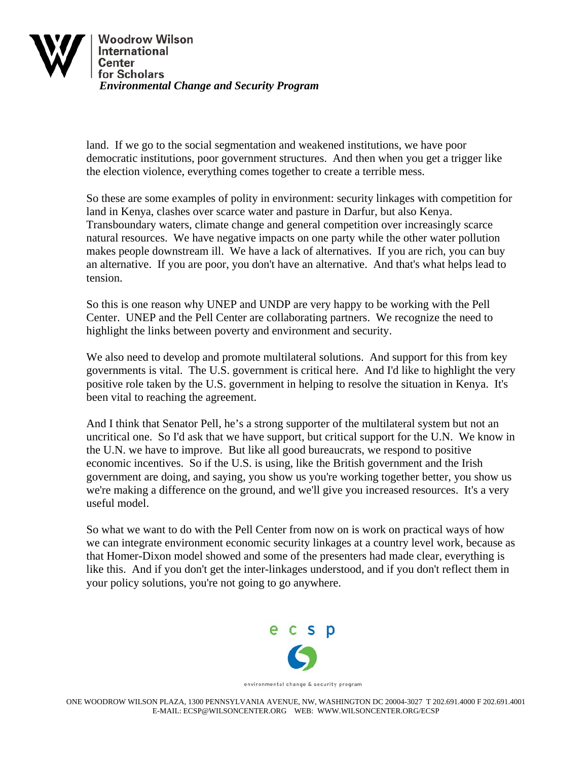

land. If we go to the social segmentation and weakened institutions, we have poor democratic institutions, poor government structures. And then when you get a trigger like the election violence, everything comes together to create a terrible mess.

So these are some examples of polity in environment: security linkages with competition for land in Kenya, clashes over scarce water and pasture in Darfur, but also Kenya. Transboundary waters, climate change and general competition over increasingly scarce natural resources. We have negative impacts on one party while the other water pollution makes people downstream ill. We have a lack of alternatives. If you are rich, you can buy an alternative. If you are poor, you don't have an alternative. And that's what helps lead to tension.

So this is one reason why UNEP and UNDP are very happy to be working with the Pell Center. UNEP and the Pell Center are collaborating partners. We recognize the need to highlight the links between poverty and environment and security.

We also need to develop and promote multilateral solutions. And support for this from key governments is vital. The U.S. government is critical here. And I'd like to highlight the very positive role taken by the U.S. government in helping to resolve the situation in Kenya. It's been vital to reaching the agreement.

And I think that Senator Pell, he's a strong supporter of the multilateral system but not an uncritical one. So I'd ask that we have support, but critical support for the U.N. We know in the U.N. we have to improve. But like all good bureaucrats, we respond to positive economic incentives. So if the U.S. is using, like the British government and the Irish government are doing, and saying, you show us you're working together better, you show us we're making a difference on the ground, and we'll give you increased resources. It's a very useful model.

So what we want to do with the Pell Center from now on is work on practical ways of how we can integrate environment economic security linkages at a country level work, because as that Homer-Dixon model showed and some of the presenters had made clear, everything is like this. And if you don't get the inter-linkages understood, and if you don't reflect them in your policy solutions, you're not going to go anywhere.



environmental change & security program